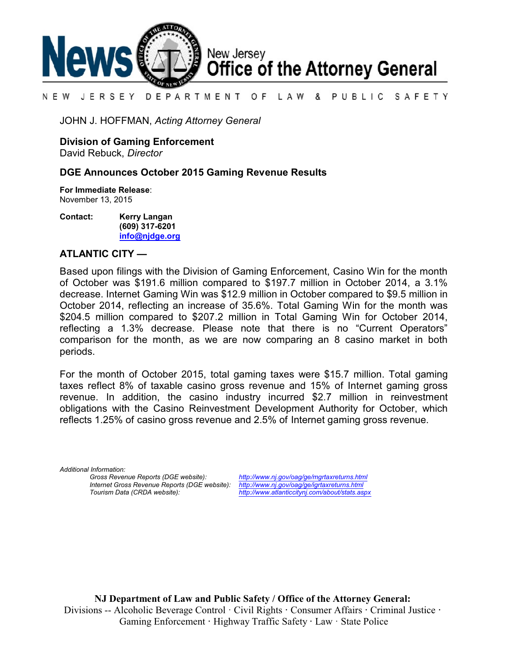

#### DEPARTMENT OF LAW & PUBLIC SAFETY N E W JERSEY

JOHN J. HOFFMAN, *Acting Attorney General*

**Division of Gaming Enforcement**

David Rebuck, *Director*

## **DGE Announces October 2015 Gaming Revenue Results**

**For Immediate Release**: November 13, 2015

**Contact: Kerry Langan (609) 317-6201 [info@njdge.org](file:///|//info@njdge.org)**

## **ATLANTIC CITY —**

Based upon filings with the Division of Gaming Enforcement, Casino Win for the month of October was \$191.6 million compared to \$197.7 million in October 2014, a 3.1% decrease. Internet Gaming Win was \$12.9 million in October compared to \$9.5 million in October 2014, reflecting an increase of 35.6%. Total Gaming Win for the month was \$204.5 million compared to \$207.2 million in Total Gaming Win for October 2014, reflecting a 1.3% decrease. Please note that there is no "Current Operators" comparison for the month, as we are now comparing an 8 casino market in both periods.

For the month of October 2015, total gaming taxes were \$15.7 million. Total gaming taxes reflect 8% of taxable casino gross revenue and 15% of Internet gaming gross revenue. In addition, the casino industry incurred \$2.7 million in reinvestment obligations with the Casino Reinvestment Development Authority for October, which reflects 1.25% of casino gross revenue and 2.5% of Internet gaming gross revenue.

*Additional Information:*

*Gross Revenue Reports (DGE website): <http://www.nj.gov/oag/ge/mgrtaxreturns.html> Internet Gross Revenue Reports (DGE website):*<br>Tourism Data (CRDA website):

*Tourism Data (CRDA website): <http://www.atlanticcitynj.com/about/stats.aspx>*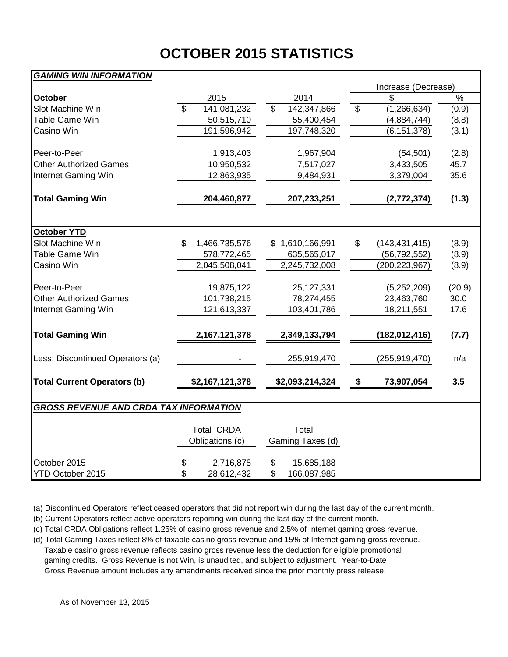# **OCTOBER 2015 STATISTICS**

## *GAMING WIN INFORMATION*

|                                               |                          |                                      |                          |                           |                          | Increase (Decrease) |               |
|-----------------------------------------------|--------------------------|--------------------------------------|--------------------------|---------------------------|--------------------------|---------------------|---------------|
| October                                       |                          | 2015                                 |                          | 2014                      |                          | \$                  | $\frac{1}{2}$ |
| Slot Machine Win                              | $\overline{\mathcal{S}}$ | 141,081,232                          | $\overline{\mathcal{S}}$ | 142,347,866               | $\overline{\mathcal{S}}$ | (1, 266, 634)       | (0.9)         |
| Table Game Win                                |                          | 50,515,710                           |                          | 55,400,454                |                          | (4,884,744)         | (8.8)         |
| Casino Win                                    |                          | 191,596,942                          |                          | 197,748,320               |                          | (6, 151, 378)       | (3.1)         |
| Peer-to-Peer                                  |                          | 1,913,403                            |                          | 1,967,904                 |                          | (54, 501)           | (2.8)         |
| <b>Other Authorized Games</b>                 |                          | 10,950,532                           |                          | 7,517,027                 |                          | 3,433,505           | 45.7          |
| Internet Gaming Win                           |                          | 12,863,935                           |                          | 9,484,931                 |                          | 3,379,004           | 35.6          |
| <b>Total Gaming Win</b>                       |                          | 204,460,877                          |                          | 207,233,251               |                          | (2,772,374)         | (1.3)         |
| <b>October YTD</b>                            |                          |                                      |                          |                           |                          |                     |               |
| Slot Machine Win                              | \$                       | 1,466,735,576                        |                          | \$1,610,166,991           | \$                       | (143, 431, 415)     | (8.9)         |
| Table Game Win                                |                          | 578,772,465                          |                          | 635,565,017               |                          | (56, 792, 552)      | (8.9)         |
| Casino Win                                    |                          | 2,045,508,041                        |                          | 2,245,732,008             |                          | (200, 223, 967)     | (8.9)         |
| Peer-to-Peer                                  |                          | 19,875,122                           |                          | 25, 127, 331              |                          | (5,252,209)         | (20.9)        |
| <b>Other Authorized Games</b>                 |                          | 101,738,215                          |                          | 78,274,455                |                          | 23,463,760          | 30.0          |
| Internet Gaming Win                           |                          | 121,613,337                          |                          | 103,401,786               |                          | 18,211,551          | 17.6          |
| <b>Total Gaming Win</b>                       |                          | 2, 167, 121, 378                     |                          | 2,349,133,794             |                          | (182, 012, 416)     | (7.7)         |
| Less: Discontinued Operators (a)              |                          |                                      |                          | 255,919,470               |                          | (255, 919, 470)     | n/a           |
| <b>Total Current Operators (b)</b>            |                          | \$2,167,121,378                      |                          | \$2,093,214,324           | \$                       | 73,907,054          | 3.5           |
| <b>GROSS REVENUE AND CRDA TAX INFORMATION</b> |                          |                                      |                          |                           |                          |                     |               |
|                                               |                          | <b>Total CRDA</b><br>Obligations (c) |                          | Total<br>Gaming Taxes (d) |                          |                     |               |
| October 2015<br>YTD October 2015              | \$<br>\$                 | 2,716,878<br>28,612,432              | \$<br>\$                 | 15,685,188<br>166,087,985 |                          |                     |               |

(a) Discontinued Operators reflect ceased operators that did not report win during the last day of the current month.

(b) Current Operators reflect active operators reporting win during the last day of the current month.

(c) Total CRDA Obligations reflect 1.25% of casino gross revenue and 2.5% of Internet gaming gross revenue.

(d) Total Gaming Taxes reflect 8% of taxable casino gross revenue and 15% of Internet gaming gross revenue. Taxable casino gross revenue reflects casino gross revenue less the deduction for eligible promotional gaming credits. Gross Revenue is not Win, is unaudited, and subject to adjustment. Year-to-Date Gross Revenue amount includes any amendments received since the prior monthly press release.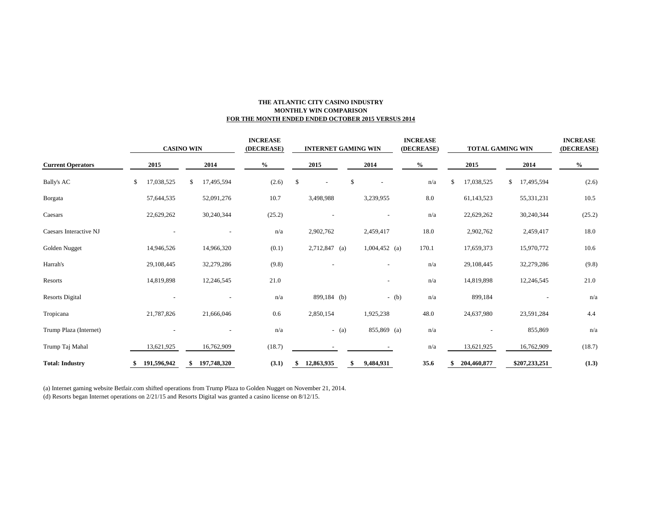### **THE ATLANTIC CITY CASINO INDUSTRY MONTHLY WIN COMPARISON FOR THE MONTH ENDED ENDED OCTOBER 2015 VERSUS 2014**

|                          | <b>CASINO WIN</b> |    |             |               | <b>INCREASE</b><br>(DECREASE) | <b>INTERNET GAMING WIN</b> |                 |         |    |                 | <b>INCREASE</b><br>(DECREASE) |         | <b>TOTAL GAMING WIN</b> |             |    | <b>INCREASE</b><br>(DECREASE) |        |
|--------------------------|-------------------|----|-------------|---------------|-------------------------------|----------------------------|-----------------|---------|----|-----------------|-------------------------------|---------|-------------------------|-------------|----|-------------------------------|--------|
| <b>Current Operators</b> | 2015              |    | 2014        | $\frac{6}{6}$ |                               |                            | 2015            |         |    | 2014            |                               | $\%$    |                         | 2015        |    | 2014                          | $\%$   |
| Bally's AC               | \$<br>17,038,525  | \$ | 17,495,594  |               | (2.6)                         | $\mathbb{S}$               |                 |         | \$ |                 |                               | n/a     | £.                      | 17,038,525  | \$ | 17,495,594                    | (2.6)  |
| Borgata                  | 57,644,535        |    | 52,091,276  |               | 10.7                          |                            | 3,498,988       |         |    | 3,239,955       |                               | $8.0\,$ |                         | 61,143,523  |    | 55,331,231                    | 10.5   |
| Caesars                  | 22,629,262        |    | 30,240,344  |               | (25.2)                        |                            |                 |         |    |                 |                               | n/a     |                         | 22,629,262  |    | 30,240,344                    | (25.2) |
| Caesars Interactive NJ   |                   |    |             |               | n/a                           |                            | 2,902,762       |         |    | 2,459,417       |                               | 18.0    |                         | 2,902,762   |    | 2,459,417                     | 18.0   |
| Golden Nugget            | 14,946,526        |    | 14,966,320  |               | (0.1)                         |                            | $2,712,847$ (a) |         |    | $1,004,452$ (a) |                               | 170.1   |                         | 17,659,373  |    | 15,970,772                    | 10.6   |
| Harrah's                 | 29,108,445        |    | 32,279,286  |               | (9.8)                         |                            |                 |         |    |                 |                               | n/a     |                         | 29,108,445  |    | 32,279,286                    | (9.8)  |
| Resorts                  | 14,819,898        |    | 12,246,545  |               | 21.0                          |                            |                 |         |    |                 |                               | n/a     |                         | 14,819,898  |    | 12,246,545                    | 21.0   |
| <b>Resorts Digital</b>   |                   |    |             |               | n/a                           |                            | 899,184 (b)     |         |    |                 | $-(b)$                        | n/a     |                         | 899,184     |    |                               | n/a    |
| Tropicana                | 21,787,826        |    | 21,666,046  |               | 0.6                           |                            | 2,850,154       |         |    | 1,925,238       |                               | 48.0    |                         | 24,637,980  |    | 23,591,284                    | 4.4    |
| Trump Plaza (Internet)   |                   |    |             |               | n/a                           |                            |                 | $-$ (a) |    | 855,869 (a)     |                               | n/a     |                         |             |    | 855,869                       | n/a    |
| Trump Taj Mahal          | 13,621,925        |    | 16,762,909  |               | (18.7)                        |                            |                 |         |    |                 |                               | n/a     |                         | 13,621,925  |    | 16,762,909                    | (18.7) |
| <b>Total: Industry</b>   | 191,596,942       |    | 197,748,320 |               | (3.1)                         |                            | 12,863,935      |         | \$ | 9,484,931       |                               | 35.6    |                         | 204,460,877 |    | \$207,233,251                 | (1.3)  |

(a) Internet gaming website Betfair.com shifted operations from Trump Plaza to Golden Nugget on November 21, 2014.

(d) Resorts began Internet operations on 2/21/15 and Resorts Digital was granted a casino license on 8/12/15.